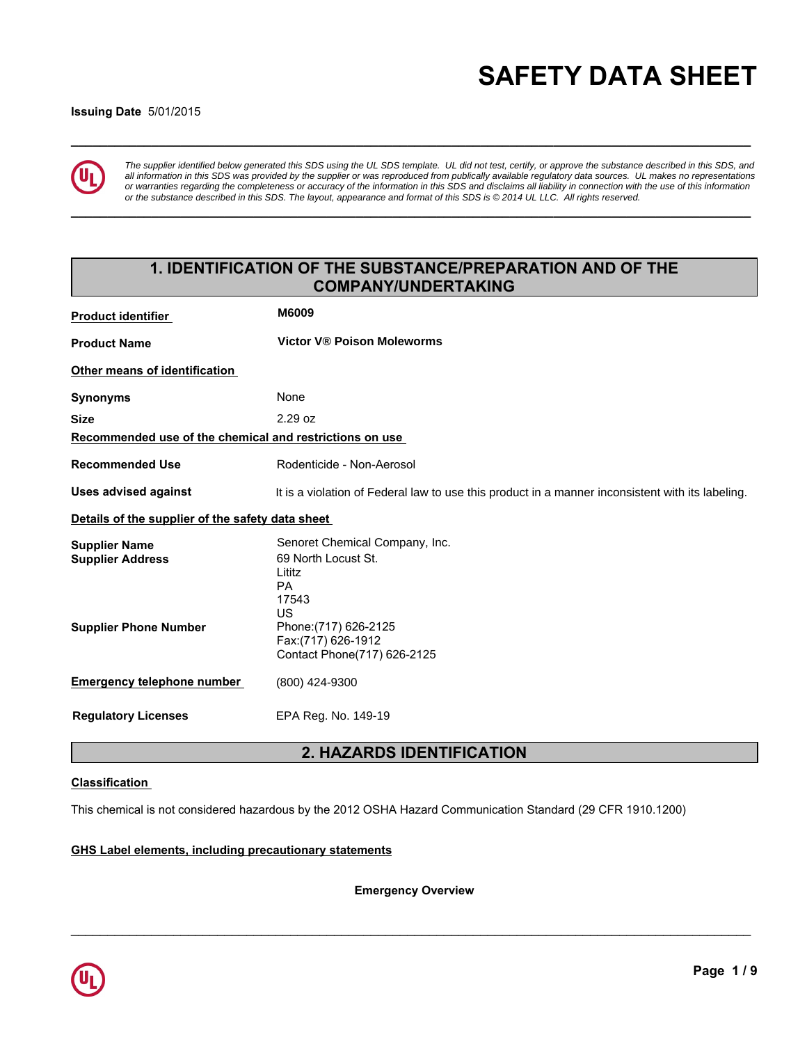# **\_\_\_\_\_\_\_\_\_\_\_\_\_\_\_\_\_\_\_\_\_\_\_\_\_\_\_\_\_\_\_\_\_\_\_\_\_\_\_\_\_\_\_\_\_\_\_\_\_\_\_\_\_\_\_\_\_\_\_\_\_\_\_\_\_\_\_\_\_\_\_\_\_\_\_\_\_\_\_\_\_\_\_\_\_\_\_\_\_\_\_\_\_ SAFETY DATA SHEET**

### **Issuing Date** 5/01/2015



*The supplier identified below generated this SDS using the UL SDS template. UL did not test, certify, or approve the substance described in this SDS, and all information in this SDS was provided by the supplier or was reproduced from publically available regulatory data sources. UL makes no representations or warranties regarding the completeness or accuracy of the information in this SDS and disclaims all liability in connection with the use of this information or the substance described in this SDS. The layout, appearance and format of this SDS is © 2014 UL LLC. All rights reserved.*

**\_\_\_\_\_\_\_\_\_\_\_\_\_\_\_\_\_\_\_\_\_\_\_\_\_\_\_\_\_\_\_\_\_\_\_\_\_\_\_\_\_\_\_\_\_\_\_\_\_\_\_\_\_\_\_\_\_\_\_\_\_\_\_\_\_\_\_\_\_\_\_\_\_\_\_\_\_\_\_\_\_\_\_\_\_\_\_\_\_\_\_\_\_**

# **1. IDENTIFICATION OF THE SUBSTANCE/PREPARATION AND OF THE COMPANY/UNDERTAKING**

| <b>Product identifier</b>                               | <b>M6009</b>                                                                                     |
|---------------------------------------------------------|--------------------------------------------------------------------------------------------------|
| <b>Product Name</b>                                     | <b>Victor V® Poison Moleworms</b>                                                                |
| Other means of identification                           |                                                                                                  |
| <b>Synonyms</b>                                         | None                                                                                             |
| <b>Size</b>                                             | 2.29 oz                                                                                          |
| Recommended use of the chemical and restrictions on use |                                                                                                  |
| <b>Recommended Use</b>                                  | Rodenticide - Non-Aerosol                                                                        |
| <b>Uses advised against</b>                             | It is a violation of Federal law to use this product in a manner inconsistent with its labeling. |
| Details of the supplier of the safety data sheet        |                                                                                                  |
| <b>Supplier Name</b><br><b>Supplier Address</b>         | Senoret Chemical Company, Inc.<br>69 North Locust St.<br>Lititz<br><b>PA</b><br>17543<br>US      |
| <b>Supplier Phone Number</b>                            | Phone: (717) 626-2125<br>Fax:(717) 626-1912<br>Contact Phone(717) 626-2125                       |
| <b>Emergency telephone number</b>                       | (800) 424-9300                                                                                   |
| <b>Requlatory Licenses</b>                              | EPA Reg. No. 149-19                                                                              |

# **2. HAZARDS IDENTIFICATION**

### **Classification**

This chemical is not considered hazardous by the 2012 OSHA Hazard Communication Standard (29 CFR 1910.1200)

### **GHS Label elements, including precautionary statements**

**Emergency Overview**

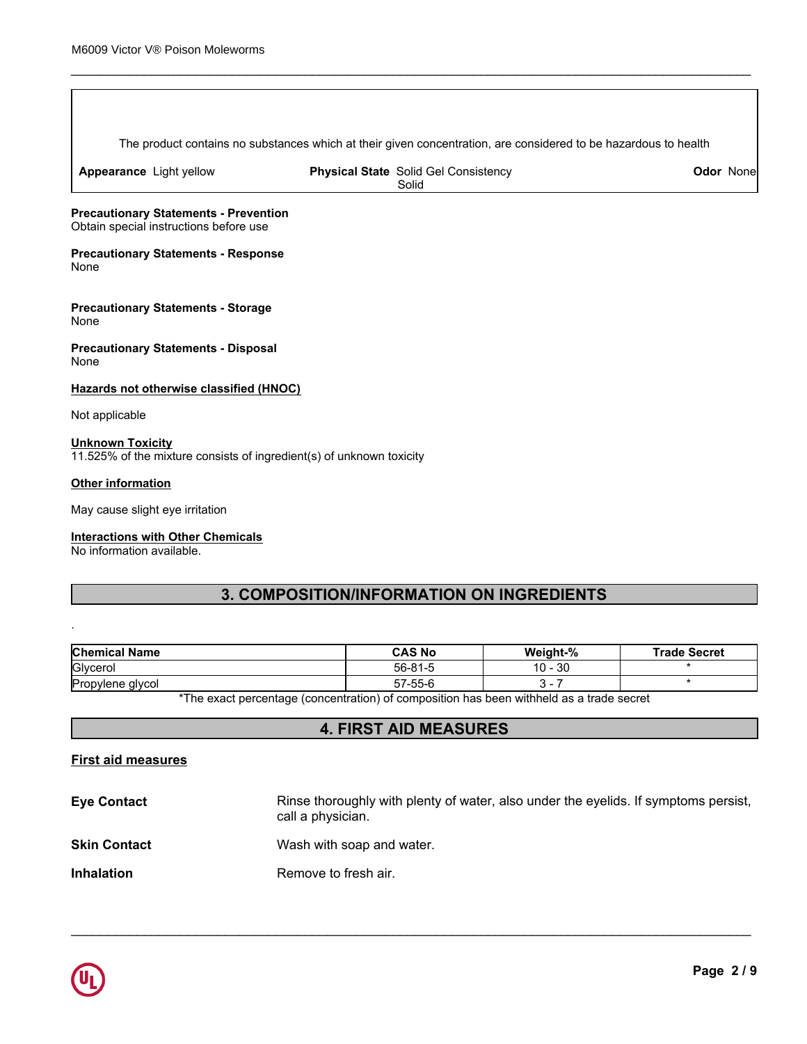The product contains no substances which at their given concentration, are considered to be hazardous to health

\_\_\_\_\_\_\_\_\_\_\_\_\_\_\_\_\_\_\_\_\_\_\_\_\_\_\_\_\_\_\_\_\_\_\_\_\_\_\_\_\_\_\_\_\_\_\_\_\_\_\_\_\_\_\_\_\_\_\_\_\_\_\_\_\_\_\_\_\_\_\_\_\_\_\_\_\_\_\_\_\_\_\_\_\_\_\_\_\_\_\_\_\_

**Appearance** Light yellow

**Physical State** Solid Gel Consistency Solid

**Odor** None

**Precautionary Statements - Prevention** Obtain special instructions before use

**Precautionary Statements - Response** None

**Precautionary Statements - Storage** None

**Precautionary Statements - Disposal** None

**Hazards not otherwise classified (HNOC)**

Not applicable

### **Unknown Toxicity** 11.525% of the mixture consists of ingredient(s) of unknown toxicity

### **Other information**

.

May cause slight eye irritation

### **Interactions with Other Chemicals**

No information available.

# **3. COMPOSITION/INFORMATION ON INGREDIENTS**

| <b>Chemical Name</b> | <b>CAS No</b>                                                                            | Weight-%  | <b>Trade Secret</b> |
|----------------------|------------------------------------------------------------------------------------------|-----------|---------------------|
| Glycerol             | 56-81-5                                                                                  | $10 - 30$ |                     |
| Propylene glycol     | 57-55-6                                                                                  |           |                     |
|                      | *The exact perceptage (conceptration) of composition has been withhold as a trade coaret |           |                     |

The exact percentage (concentration) of composition has been withheld as a trade secret

## **4. FIRST AID MEASURES**

### **First aid measures**

| <b>Eye Contact</b>  | Rinse thoroughly with plenty of water, also under the eyelids. If symptoms persist,<br>call a physician. |
|---------------------|----------------------------------------------------------------------------------------------------------|
| <b>Skin Contact</b> | Wash with soap and water.                                                                                |
| <b>Inhalation</b>   | Remove to fresh air.                                                                                     |

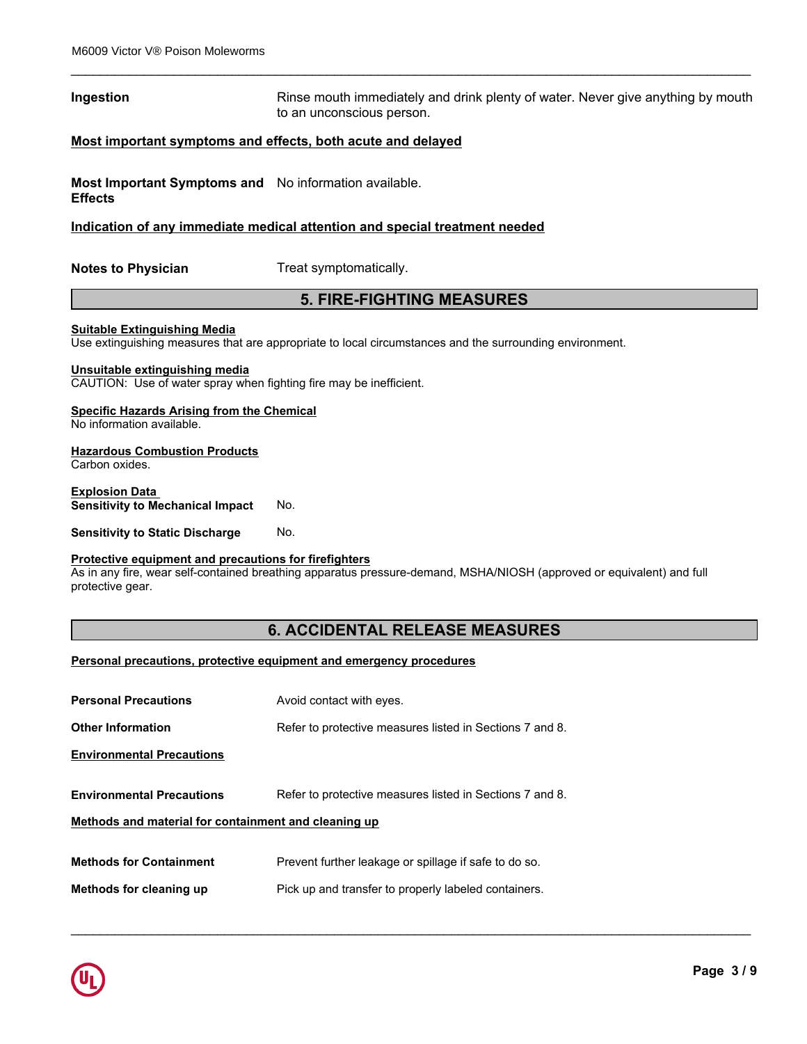### **Ingestion Rinse mouth immediately and drink plenty of water. Never give anything by mouth immediately and drink plenty of water. Never give anything by mouth** to an unconscious person.

\_\_\_\_\_\_\_\_\_\_\_\_\_\_\_\_\_\_\_\_\_\_\_\_\_\_\_\_\_\_\_\_\_\_\_\_\_\_\_\_\_\_\_\_\_\_\_\_\_\_\_\_\_\_\_\_\_\_\_\_\_\_\_\_\_\_\_\_\_\_\_\_\_\_\_\_\_\_\_\_\_\_\_\_\_\_\_\_\_\_\_\_\_

### **Most important symptoms and effects, both acute and delayed**

**Most Important Symptoms and** No information available. **Effects**

### **Indication of any immediate medical attention and special treatment needed**

**Notes to Physician** Treat symptomatically.

### **5. FIRE-FIGHTING MEASURES**

### **Suitable Extinguishing Media**

Use extinguishing measures that are appropriate to local circumstances and the surrounding environment.

### **Unsuitable extinguishing media**

CAUTION: Use of water spray when fighting fire may be inefficient.

### **Specific Hazards Arising from the Chemical**

No information available.

### **Hazardous Combustion Products**

Carbon oxides.

### **Explosion Data Sensitivity to Mechanical Impact** No.

**Sensitivity to Static Discharge No.** 

### **Protective equipment and precautions for firefighters**

As in any fire, wear self-contained breathing apparatus pressure-demand, MSHA/NIOSH (approved or equivalent) and full protective gear.

### **6. ACCIDENTAL RELEASE MEASURES**

\_\_\_\_\_\_\_\_\_\_\_\_\_\_\_\_\_\_\_\_\_\_\_\_\_\_\_\_\_\_\_\_\_\_\_\_\_\_\_\_\_\_\_\_\_\_\_\_\_\_\_\_\_\_\_\_\_\_\_\_\_\_\_\_\_\_\_\_\_\_\_\_\_\_\_\_\_\_\_\_\_\_\_\_\_\_\_\_\_\_\_\_\_

### **Personal precautions, protective equipment and emergency procedures**

| <b>Personal Precautions</b>                          | Avoid contact with eyes.                                 |
|------------------------------------------------------|----------------------------------------------------------|
| <b>Other Information</b>                             | Refer to protective measures listed in Sections 7 and 8. |
| <b>Environmental Precautions</b>                     |                                                          |
|                                                      |                                                          |
| <b>Environmental Precautions</b>                     | Refer to protective measures listed in Sections 7 and 8. |
| Methods and material for containment and cleaning up |                                                          |
|                                                      |                                                          |
| <b>Methods for Containment</b>                       | Prevent further leakage or spillage if safe to do so.    |
| Methods for cleaning up                              | Pick up and transfer to properly labeled containers.     |
|                                                      |                                                          |

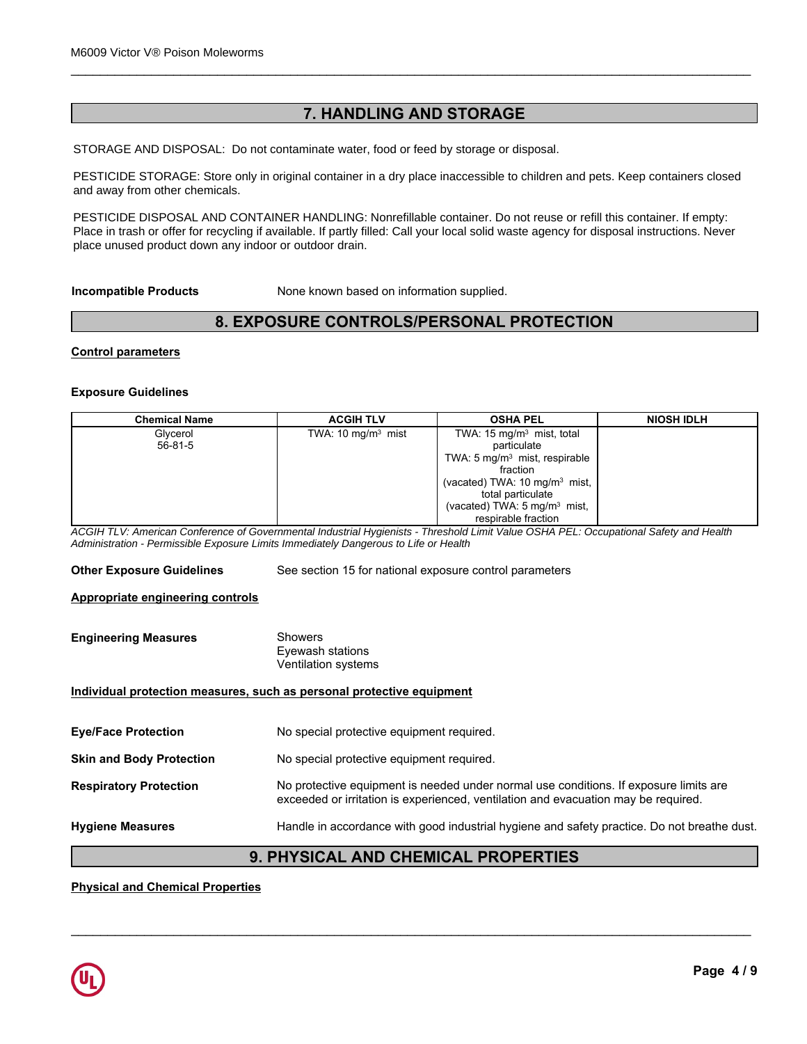# **7. HANDLING AND STORAGE**

\_\_\_\_\_\_\_\_\_\_\_\_\_\_\_\_\_\_\_\_\_\_\_\_\_\_\_\_\_\_\_\_\_\_\_\_\_\_\_\_\_\_\_\_\_\_\_\_\_\_\_\_\_\_\_\_\_\_\_\_\_\_\_\_\_\_\_\_\_\_\_\_\_\_\_\_\_\_\_\_\_\_\_\_\_\_\_\_\_\_\_\_\_

STORAGE AND DISPOSAL: Do not contaminate water, food or feed by storage or disposal.

PESTICIDE STORAGE: Store only in original container in a dry place inaccessible to children and pets. Keep containers closed<br>and away from other chemicals and away from other chemicals.

Place in trash or offer for recycling if available. If partly filled: Call your local solid waste agency for disposal instructions. Never PESTICIDE DISPOSAL AND CONTAINER HANDLING: Nonrefillable container. Do not reuse or refill this container. If empty: place unused product down any indoor or outdoor drain.

# **8. EXPOSURE CONTROLS/PERSONAL PROTECTION**

### **Control parameters**

### **Exposure Guidelines**

| None known based on information supplied.<br><b>Incompatible Products</b> |                                |                                                      |                   |  |
|---------------------------------------------------------------------------|--------------------------------|------------------------------------------------------|-------------------|--|
| 8. EXPOSURE CONTROLS/PERSONAL PROTECTION                                  |                                |                                                      |                   |  |
| <b>Control parameters</b>                                                 |                                |                                                      |                   |  |
| <b>Exposure Guidelines</b>                                                |                                |                                                      |                   |  |
| <b>Chemical Name</b>                                                      | <b>ACGIH TLV</b>               | <b>OSHA PEL</b>                                      | <b>NIOSH IDLH</b> |  |
| Glycerol<br>$56 - 81 - 5$                                                 | TWA: 10 mg/m <sup>3</sup> mist | TWA: 15 mg/m <sup>3</sup> mist, total<br>particulate |                   |  |
|                                                                           |                                | TWA: 5 mg/m <sup>3</sup> mist, respirable            |                   |  |
|                                                                           |                                | fraction                                             |                   |  |
|                                                                           |                                | (vacated) TWA: $10 \text{ mg/m}^3$ mist,             |                   |  |
|                                                                           |                                | total particulate                                    |                   |  |
|                                                                           |                                | (vacated) TWA: 5 mg/m <sup>3</sup> mist,             |                   |  |
|                                                                           |                                | respirable fraction                                  |                   |  |

*ACGIH TLV: American Conference of Governmental Industrial Hygienists - Threshold Limit Value OSHA PEL: Occupational Safety and Health Administration - Permissible Exposure Limits Immediately Dangerous to Life or Health*

**Other Exposure Guidelines** See section 15 for national exposure control parameters

### **Appropriate engineering controls**

| <b>Engineering Measures</b> | Showers             |  |
|-----------------------------|---------------------|--|
|                             | Evewash stations    |  |
|                             | Ventilation systems |  |

### **Individual protection measures, such as personal protective equipment**

| <b>Eye/Face Protection</b>      | No special protective equipment required.                                                                                                                                   |
|---------------------------------|-----------------------------------------------------------------------------------------------------------------------------------------------------------------------------|
| <b>Skin and Body Protection</b> | No special protective equipment required.                                                                                                                                   |
| <b>Respiratory Protection</b>   | No protective equipment is needed under normal use conditions. If exposure limits are<br>exceeded or irritation is experienced, ventilation and evacuation may be required. |
| <b>Hygiene Measures</b>         | Handle in accordance with good industrial hygiene and safety practice. Do not breathe dust.                                                                                 |

# **9. PHYSICAL AND CHEMICAL PROPERTIES**

\_\_\_\_\_\_\_\_\_\_\_\_\_\_\_\_\_\_\_\_\_\_\_\_\_\_\_\_\_\_\_\_\_\_\_\_\_\_\_\_\_\_\_\_\_\_\_\_\_\_\_\_\_\_\_\_\_\_\_\_\_\_\_\_\_\_\_\_\_\_\_\_\_\_\_\_\_\_\_\_\_\_\_\_\_\_\_\_\_\_\_\_\_

### **Physical and Chemical Properties**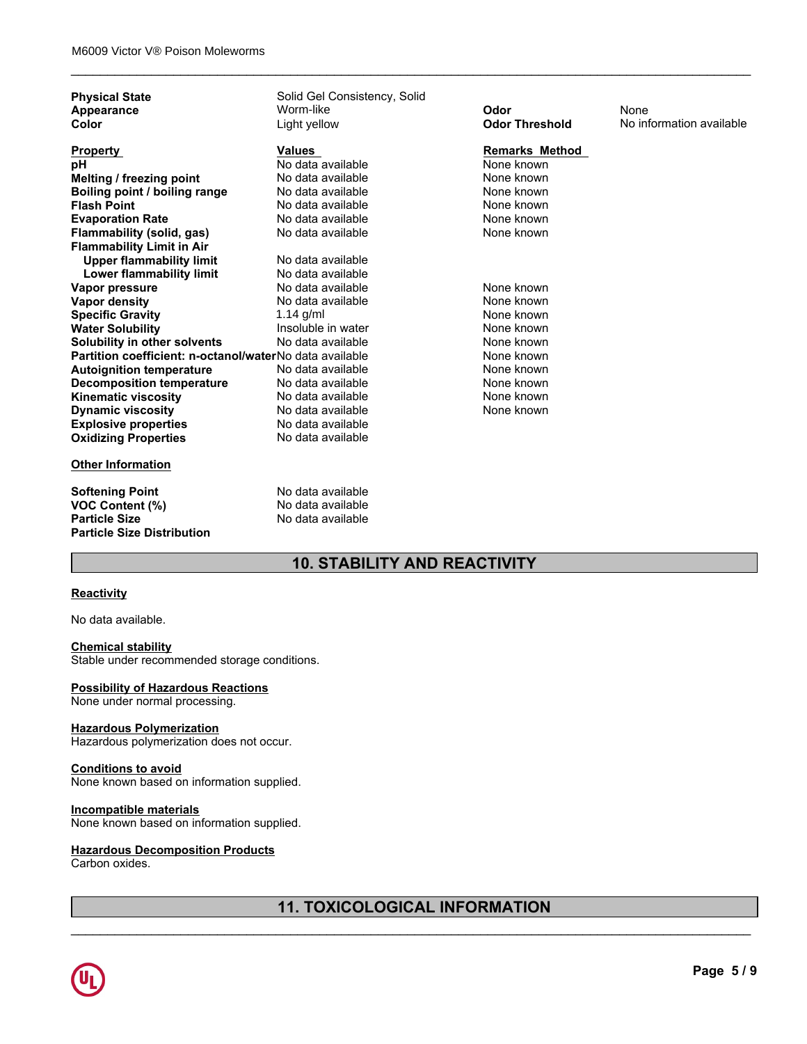| <b>Property</b><br>рH<br>Melting / freezing point<br>Boiling point / boiling range<br><b>Flash Point</b><br><b>Evaporation Rate</b><br>Flammability (solid, gas)<br><b>Flammability Limit in Air</b><br><b>Upper flammability limit</b><br>Lower flammability limit<br>Vapor pressure | <b>Values</b><br>No data available<br>No data available<br>No data available<br>No data available<br>No data available<br>No data available<br>No data available<br>No data available | <b>Remarks Method</b><br>None known<br>None known<br>None known<br>None known<br>None known<br>None known |  |
|---------------------------------------------------------------------------------------------------------------------------------------------------------------------------------------------------------------------------------------------------------------------------------------|---------------------------------------------------------------------------------------------------------------------------------------------------------------------------------------|-----------------------------------------------------------------------------------------------------------|--|
|                                                                                                                                                                                                                                                                                       |                                                                                                                                                                                       |                                                                                                           |  |
|                                                                                                                                                                                                                                                                                       |                                                                                                                                                                                       |                                                                                                           |  |
|                                                                                                                                                                                                                                                                                       |                                                                                                                                                                                       |                                                                                                           |  |
|                                                                                                                                                                                                                                                                                       |                                                                                                                                                                                       |                                                                                                           |  |
|                                                                                                                                                                                                                                                                                       |                                                                                                                                                                                       |                                                                                                           |  |
|                                                                                                                                                                                                                                                                                       |                                                                                                                                                                                       |                                                                                                           |  |
|                                                                                                                                                                                                                                                                                       |                                                                                                                                                                                       |                                                                                                           |  |
|                                                                                                                                                                                                                                                                                       |                                                                                                                                                                                       |                                                                                                           |  |
|                                                                                                                                                                                                                                                                                       |                                                                                                                                                                                       |                                                                                                           |  |
|                                                                                                                                                                                                                                                                                       |                                                                                                                                                                                       |                                                                                                           |  |
|                                                                                                                                                                                                                                                                                       | No data available                                                                                                                                                                     | None known                                                                                                |  |
| Vapor density                                                                                                                                                                                                                                                                         | No data available                                                                                                                                                                     | None known                                                                                                |  |
| <b>Specific Gravity</b>                                                                                                                                                                                                                                                               | 1.14 $g/ml$                                                                                                                                                                           | None known                                                                                                |  |
| <b>Water Solubility</b>                                                                                                                                                                                                                                                               | Insoluble in water                                                                                                                                                                    | None known                                                                                                |  |
| Solubility in other solvents                                                                                                                                                                                                                                                          | No data available                                                                                                                                                                     | None known                                                                                                |  |
| Partition coefficient: n-octanol/waterNo data available                                                                                                                                                                                                                               |                                                                                                                                                                                       | None known                                                                                                |  |
| <b>Autoignition temperature</b>                                                                                                                                                                                                                                                       | No data available                                                                                                                                                                     | None known                                                                                                |  |
| <b>Decomposition temperature</b>                                                                                                                                                                                                                                                      | No data available                                                                                                                                                                     | None known                                                                                                |  |
| <b>Kinematic viscosity</b>                                                                                                                                                                                                                                                            | No data available                                                                                                                                                                     | None known                                                                                                |  |
| <b>Dynamic viscosity</b>                                                                                                                                                                                                                                                              | No data available                                                                                                                                                                     | None known                                                                                                |  |
| <b>Explosive properties</b>                                                                                                                                                                                                                                                           | No data available                                                                                                                                                                     |                                                                                                           |  |
| <b>Oxidizing Properties</b>                                                                                                                                                                                                                                                           | No data available                                                                                                                                                                     |                                                                                                           |  |
| <b>Other Information</b>                                                                                                                                                                                                                                                              |                                                                                                                                                                                       |                                                                                                           |  |
| <b>Softening Point</b>                                                                                                                                                                                                                                                                | No data available                                                                                                                                                                     |                                                                                                           |  |
| <b>VOC Content (%)</b>                                                                                                                                                                                                                                                                | No data available                                                                                                                                                                     |                                                                                                           |  |
| <b>Particle Size</b><br><b>Particle Size Distribution</b>                                                                                                                                                                                                                             | No data available                                                                                                                                                                     |                                                                                                           |  |

\_\_\_\_\_\_\_\_\_\_\_\_\_\_\_\_\_\_\_\_\_\_\_\_\_\_\_\_\_\_\_\_\_\_\_\_\_\_\_\_\_\_\_\_\_\_\_\_\_\_\_\_\_\_\_\_\_\_\_\_\_\_\_\_\_\_\_\_\_\_\_\_\_\_\_\_\_\_\_\_\_\_\_\_\_\_\_\_\_\_\_\_\_

# **10. STABILITY AND REACTIVITY**

### **Reactivity**

No data available.

### **Chemical stability**

Stable under recommended storage conditions.

### **Possibility of Hazardous Reactions**

None under normal processing.

### **Hazardous Polymerization**

Hazardous polymerization does not occur.

### **Conditions to avoid**

None known based on information supplied.

### **Incompatible materials**

None known based on information supplied.

### **Hazardous Decomposition Products**

Carbon oxides.

# **11. TOXICOLOGICAL INFORMATION**

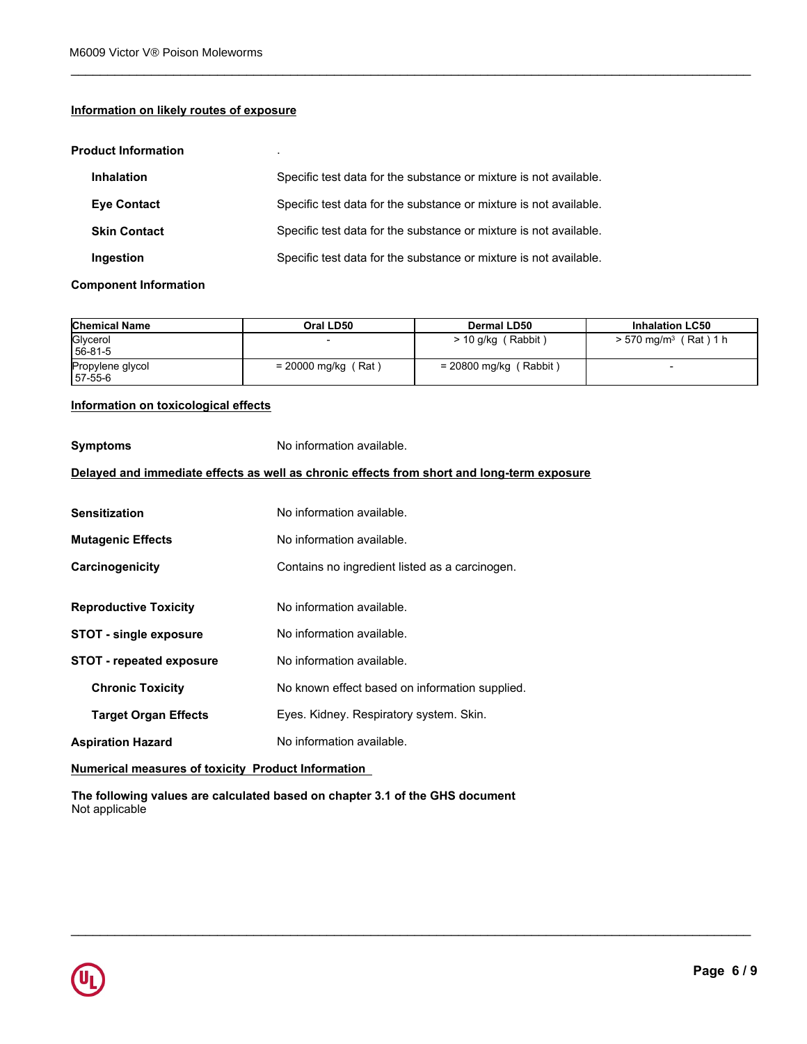### **Information on likely routes of exposure**

### **Product Information** .

| <b>Inhalation</b>   | Specific test data for the substance or mixture is not available. |
|---------------------|-------------------------------------------------------------------|
| <b>Eve Contact</b>  | Specific test data for the substance or mixture is not available. |
| <b>Skin Contact</b> | Specific test data for the substance or mixture is not available. |
| Ingestion           | Specific test data for the substance or mixture is not available. |

### **Component Information**

| <b>Chemical Name</b>        | Oral LD50             | Dermal LD50              | <b>Inhalation LC50</b>                |
|-----------------------------|-----------------------|--------------------------|---------------------------------------|
| Glycerol<br>56-81-5         |                       | Rabbit<br>$> 10$ g/kg    | (Rat)1 h<br>$> 570$ mg/m <sup>3</sup> |
| Propylene glycol<br>57-55-6 | $= 20000$ mg/kg (Rat) | $= 20800$ mg/kg (Rabbit) |                                       |

\_\_\_\_\_\_\_\_\_\_\_\_\_\_\_\_\_\_\_\_\_\_\_\_\_\_\_\_\_\_\_\_\_\_\_\_\_\_\_\_\_\_\_\_\_\_\_\_\_\_\_\_\_\_\_\_\_\_\_\_\_\_\_\_\_\_\_\_\_\_\_\_\_\_\_\_\_\_\_\_\_\_\_\_\_\_\_\_\_\_\_\_\_

\_\_\_\_\_\_\_\_\_\_\_\_\_\_\_\_\_\_\_\_\_\_\_\_\_\_\_\_\_\_\_\_\_\_\_\_\_\_\_\_\_\_\_\_\_\_\_\_\_\_\_\_\_\_\_\_\_\_\_\_\_\_\_\_\_\_\_\_\_\_\_\_\_\_\_\_\_\_\_\_\_\_\_\_\_\_\_\_\_\_\_\_\_

# **Information on toxicological effects**

| No information available.                                                                  |
|--------------------------------------------------------------------------------------------|
| Delayed and immediate effects as well as chronic effects from short and long-term exposure |
| No information available.                                                                  |
| No information available.                                                                  |
| Contains no ingredient listed as a carcinogen.                                             |
| No information available.                                                                  |
| No information available.                                                                  |
| No information available.                                                                  |
| No known effect based on information supplied.                                             |
| Eyes. Kidney. Respiratory system. Skin.                                                    |
| No information available.                                                                  |
|                                                                                            |

**Numerical measures of toxicity Product Information** 

**The following values are calculated based on chapter 3.1 of the GHS document** Not applicable

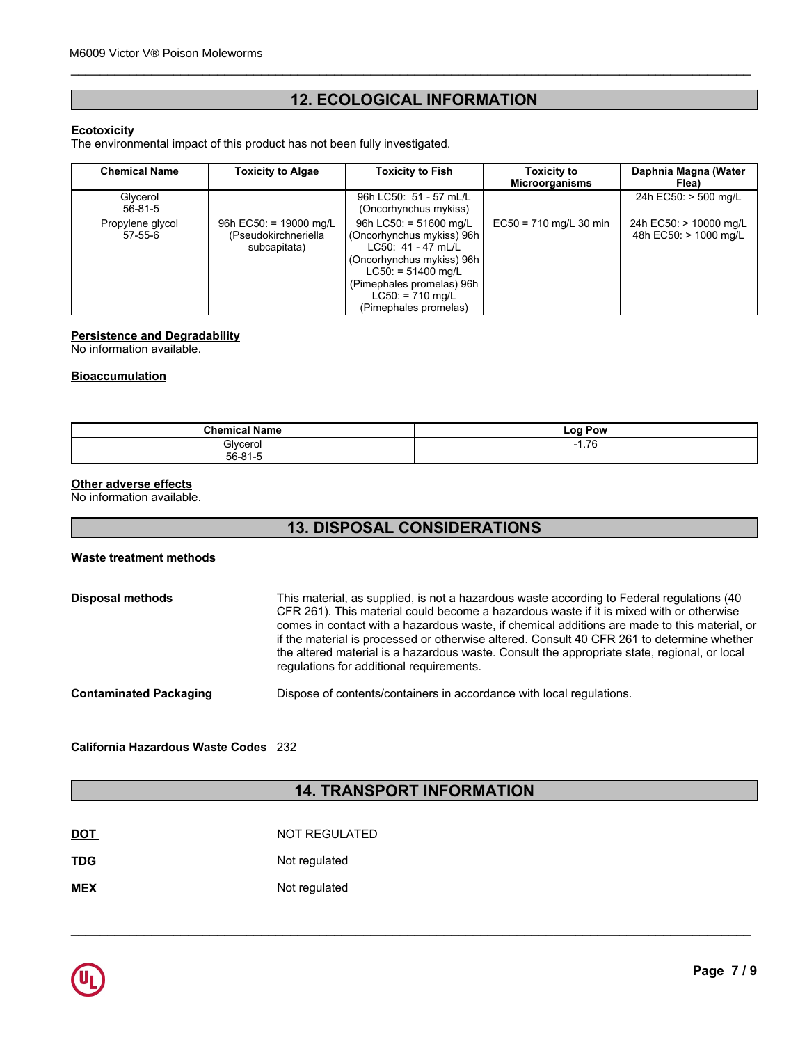# **12. ECOLOGICAL INFORMATION**

\_\_\_\_\_\_\_\_\_\_\_\_\_\_\_\_\_\_\_\_\_\_\_\_\_\_\_\_\_\_\_\_\_\_\_\_\_\_\_\_\_\_\_\_\_\_\_\_\_\_\_\_\_\_\_\_\_\_\_\_\_\_\_\_\_\_\_\_\_\_\_\_\_\_\_\_\_\_\_\_\_\_\_\_\_\_\_\_\_\_\_\_\_

### **Ecotoxicity**

| <b>12. ECOLOGICAL INFORMATION</b><br><b>Ecotoxicity</b><br>The environmental impact of this product has not been fully investigated. |                                                                  |                                                                                                                                                                                   |                          |                                                 |
|--------------------------------------------------------------------------------------------------------------------------------------|------------------------------------------------------------------|-----------------------------------------------------------------------------------------------------------------------------------------------------------------------------------|--------------------------|-------------------------------------------------|
|                                                                                                                                      |                                                                  |                                                                                                                                                                                   |                          | <b>Chemical Name</b>                            |
| Glycerol<br>56-81-5                                                                                                                  |                                                                  | 96h LC50: 51 - 57 mL/L<br>(Oncorhynchus mykiss)                                                                                                                                   |                          | 24h EC50: > 500 mg/L                            |
| Propylene glycol<br>$57 - 55 - 6$                                                                                                    | 96h EC50: = $19000$ mg/L<br>(Pseudokirchneriella<br>subcapitata) | 96h LC50: = 51600 mg/L<br>(Oncorhynchus mykiss) 96h<br>LC50: 41 - 47 mL/L<br>(Oncorhynchus mykiss) 96h<br>$LC50: = 51400$ mg/L<br>(Pimephales promelas) 96h<br>$LC50: = 710$ mg/L | $EC50 = 710$ mg/L 30 min | 24h EC50: > 10000 mg/L<br>48h EC50: > 1000 mg/L |

### **Persistence and Degradability**

No information available.

### **Bioaccumulation**

| ' Name<br><b>Chemical</b> | Log Pow           |
|---------------------------|-------------------|
| Glycerol<br>56.81.5       | 76<br>- 1<br>1.70 |
|                           |                   |

### **Other adverse effects**

No information available.

# **13. DISPOSAL CONSIDERATIONS**

### **Waste treatment methods**

| <b>Disposal methods</b>       | This material, as supplied, is not a hazardous waste according to Federal regulations (40)<br>CFR 261). This material could become a hazardous waste if it is mixed with or otherwise<br>comes in contact with a hazardous waste, if chemical additions are made to this material, or<br>if the material is processed or otherwise altered. Consult 40 CFR 261 to determine whether<br>the altered material is a hazardous waste. Consult the appropriate state, regional, or local<br>regulations for additional requirements. |
|-------------------------------|---------------------------------------------------------------------------------------------------------------------------------------------------------------------------------------------------------------------------------------------------------------------------------------------------------------------------------------------------------------------------------------------------------------------------------------------------------------------------------------------------------------------------------|
| <b>Contaminated Packaging</b> | Dispose of contents/containers in accordance with local regulations.                                                                                                                                                                                                                                                                                                                                                                                                                                                            |

**California Hazardous Waste Codes** 232

# **14. TRANSPORT INFORMATION**

| <b>DOT</b> | NOT REGULATED |
|------------|---------------|
| <b>TDG</b> | Not regulated |
| <b>MEX</b> | Not regulated |

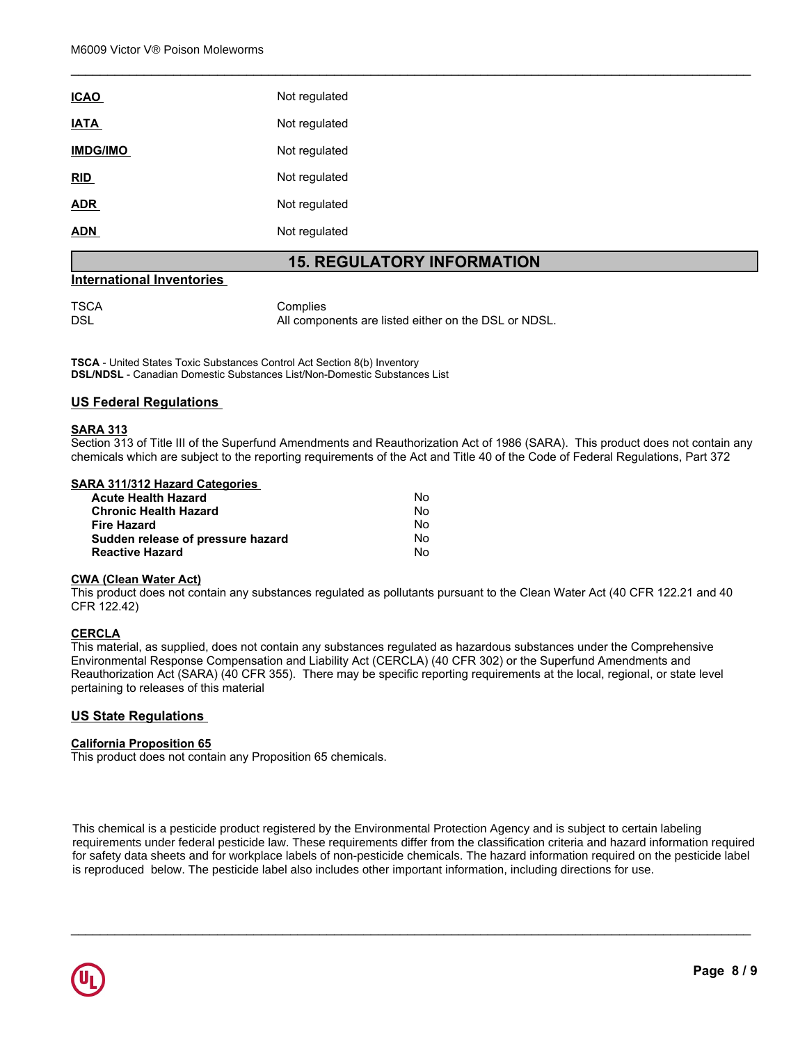| <b>ICAO</b>     | Not regulated |
|-----------------|---------------|
| <b>IATA</b>     | Not regulated |
| <b>IMDG/IMO</b> | Not regulated |
| <u>RID</u>      | Not regulated |
| <b>ADR</b>      | Not regulated |
| <b>ADN</b>      | Not regulated |

### **15. REGULATORY INFORMATION**

\_\_\_\_\_\_\_\_\_\_\_\_\_\_\_\_\_\_\_\_\_\_\_\_\_\_\_\_\_\_\_\_\_\_\_\_\_\_\_\_\_\_\_\_\_\_\_\_\_\_\_\_\_\_\_\_\_\_\_\_\_\_\_\_\_\_\_\_\_\_\_\_\_\_\_\_\_\_\_\_\_\_\_\_\_\_\_\_\_\_\_\_\_

### **International Inventories**

TSCA Complies<br>DSL Mill Compo All components are listed either on the DSL or NDSL.

**TSCA** - United States Toxic Substances Control Act Section 8(b) Inventory **DSL/NDSL** - Canadian Domestic Substances List/Non-Domestic Substances List

### **US Federal Regulations**

### **SARA 313**

Section 313 of Title III of the Superfund Amendments and Reauthorization Act of 1986 (SARA). This product does not contain any chemicals which are subject to the reporting requirements of the Act and Title 40 of the Code of Federal Regulations, Part 372

### **SARA 311/312 Hazard Categories**

| <b>Acute Health Hazard</b>        | Nο  |  |
|-----------------------------------|-----|--|
| <b>Chronic Health Hazard</b>      | No. |  |
| <b>Fire Hazard</b>                | No  |  |
| Sudden release of pressure hazard | No. |  |
| <b>Reactive Hazard</b>            | No  |  |

### **CWA (Clean Water Act)**

This product does not contain any substances regulated as pollutants pursuant to the Clean Water Act (40 CFR 122.21 and 40 CFR 122.42)

### **CERCLA**

This material, as supplied, does not contain any substances regulated as hazardous substances under the Comprehensive Environmental Response Compensation and Liability Act (CERCLA) (40 CFR 302) or the Superfund Amendments and Reauthorization Act (SARA) (40 CFR 355). There may be specific reporting requirements at the local, regional, or state level pertaining to releases of this material

### **US State Regulations**

### **California Proposition 65**

This product does not contain any Proposition 65 chemicals.

**Chemical Namerical Namerical Namerical Schemicals.**<br> **Chemical Analy Proposition 65 chemicals.**<br> **Chemical pesticide product registered by the Environmental Protection Agency and is subject to certain labeling<br>
If ederal** for safety data sheets and for workplace labels of non-pesticide chemicals. The hazard information required on the pesticide label<br>is reproduced below. The pesticide label also includes other important information, includi 56-81-5 is reproduced below. The pesticide label also includes other important information, including directions for use. Propylene glycol  $\mathbf{y}$  x  $\mathbf{x}$  x  $\mathbf{y}$  x  $\mathbf{x}$  x  $\mathbf{y}$  x  $\mathbf{x}$  x  $\mathbf{x}$  x  $\mathbf{x}$  x  $\mathbf{x}$  x  $\mathbf{x}$  x  $\mathbf{x}$  x  $\mathbf{x}$  x  $\mathbf{x}$  x  $\mathbf{x}$  x  $\mathbf{x}$  x  $\mathbf{x}$  x  $\mathbf{x}$  x  $\mathbf{x}$  x  $\mathbf{x}$  x  $\mathbf{x}$  x  $\mathbf{x}$  x  $\mathbf{x}$  This chemical is a pesticide product registered by the Environmental Protection Agency and is subject to certain labeling requirements under federal pesticide law. These requirements differ from the classification criteria and hazard information required